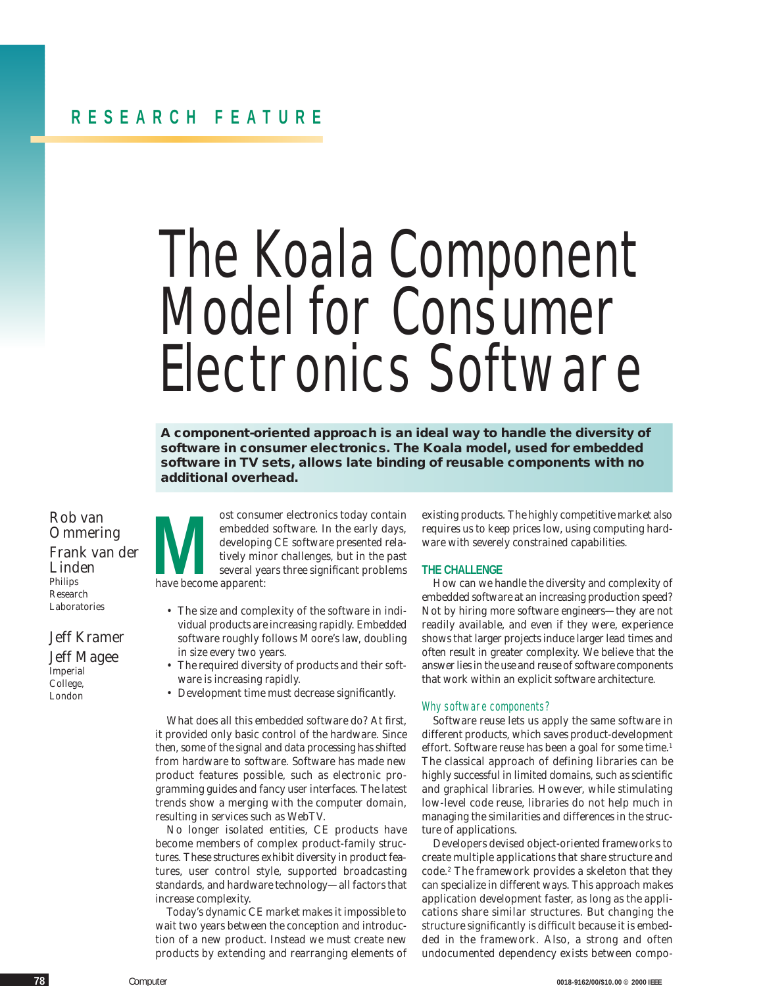# The Koala Component Model for Consumer Electronics Software

**A component-oriented approach is an ideal way to handle the diversity of software in consumer electronics. The Koala model, used for embedded software in TV sets, allows late binding of reusable components with no additional overhead.**

*Rob van Ommering Frank van der Linden* Philips Research Laboratories

*Jeff Kramer Jeff Magee*

Imperial College, London

ost consumer electronics today contain<br>
embedded software. In the early days,<br>
developing CE software presented rela-<br>
tively minor challenges, but in the past<br>
several years three significant problems<br>
have become apparen embedded software. In the early days, developing CE software presented relatively minor challenges, but in the past several years three significant problems have become apparent:

- The size and complexity of the software in individual products are increasing rapidly. Embedded software roughly follows Moore's law, doubling in size every two years.
- The required diversity of products and their software is increasing rapidly.
- Development time must decrease significantly.

What does all this embedded software do? At first, it provided only basic control of the hardware. Since then, some of the signal and data processing has shifted from hardware to software. Software has made new product features possible, such as electronic programming guides and fancy user interfaces. The latest trends show a merging with the computer domain, resulting in services such as WebTV.

No longer isolated entities, CE products have become members of complex product-family structures. These structures exhibit diversity in product features, user control style, supported broadcasting standards, and hardware technology—all factors that increase complexity.

Today's dynamic CE market makes it impossible to wait two years between the conception and introduction of a new product. Instead we must create new products by extending and rearranging elements of existing products. The highly competitive market also requires us to keep prices low, using computing hardware with severely constrained capabilities.

# **THE CHALLENGE**

How can we handle the diversity and complexity of embedded software at an increasing production speed? Not by hiring more software engineers—they are not readily available, and even if they were, experience shows that larger projects induce larger lead times and often result in greater complexity. We believe that the answer lies in the use and reuse of software components that work within an explicit software architecture.

# Why software components?

Software reuse lets us apply the same software in different products, which saves product-development effort. Software reuse has been a goal for some time.<sup>1</sup> The classical approach of defining libraries can be highly successful in limited domains, such as scientific and graphical libraries. However, while stimulating low-level code reuse, libraries do not help much in managing the similarities and differences in the structure of applications.

Developers devised *object-oriented frameworks* to create multiple applications that share structure and code.2 The framework provides a skeleton that they can specialize in different ways. This approach makes application development faster, as long as the applications share similar structures. But changing the structure significantly is difficult because it is embedded in the framework. Also, a strong and often undocumented dependency exists between compo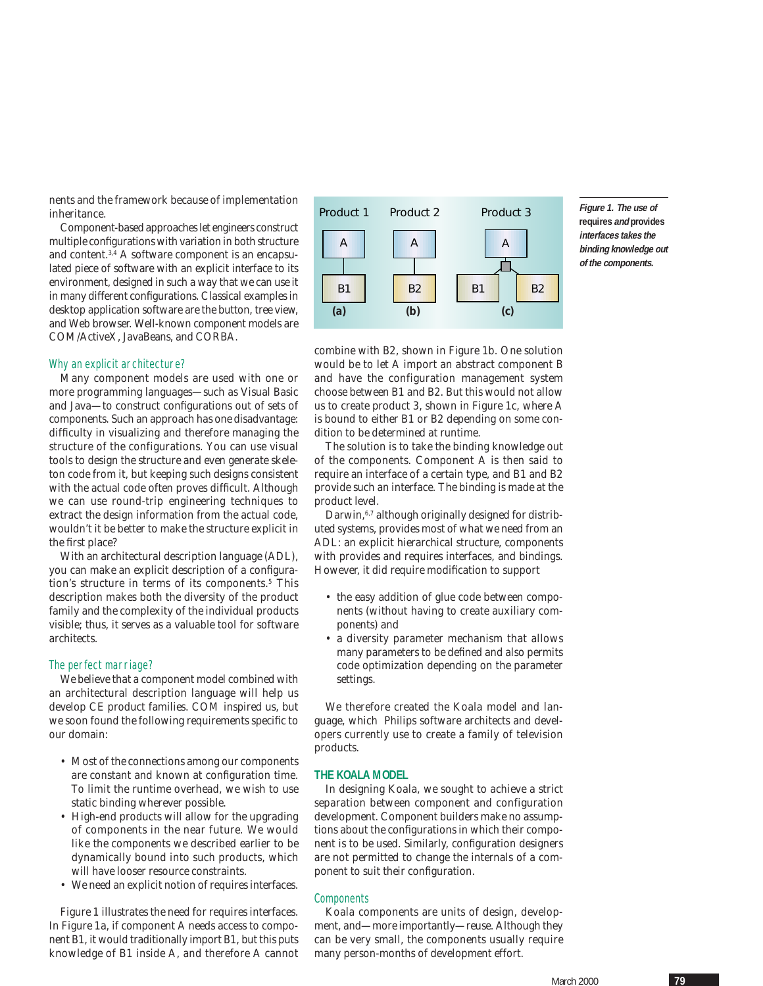nents and the framework because of implementation inheritance.

*Component-based approaches*let engineers construct multiple configurations with variation in both structure and content.3,4 A software component is an encapsulated piece of software with an explicit interface to its environment, designed in such a way that we can use it in many different configurations. Classical examples in desktop application software are the button, tree view, and Web browser. Well-known component models are COM/ActiveX, JavaBeans, and CORBA.

## Why an explicit architecture?

Many component models are used with one or more programming languages—such as Visual Basic and Java—to construct configurations out of sets of components. Such an approach has one disadvantage: difficulty in visualizing and therefore managing the structure of the configurations. You can use visual tools to design the structure and even generate skeleton code from it, but keeping such designs consistent with the actual code often proves difficult. Although we can use round-trip engineering techniques to extract the design information from the actual code, wouldn't it be better to make the structure explicit in the first place?

With an architectural description language (ADL), you can make an explicit description of a configuration's structure in terms of its components.<sup>5</sup> This description makes both the diversity of the product family and the complexity of the individual products visible; thus, it serves as a valuable tool for software architects.

# The perfect marriage?

We believe that a component model combined with an architectural description language will help us develop CE product families. COM inspired us, but we soon found the following requirements specific to our domain:

- Most of the connections among our components are constant and known at configuration time. To limit the runtime overhead, we wish to use *static binding* wherever possible.
- High-end products will allow for the upgrading of components in the near future. We would like the components we described earlier to be *dynamically bound* into such products, which will have looser resource constraints.
- We need an explicit notion of *requires* interfaces.

Figure 1 illustrates the need for *requires* interfaces. In Figure 1a, if component A needs access to component B1, it would traditionally import B1, but this puts knowledge of B1 inside A, and therefore A cannot



**Figure 1. The use of requires and provides interfaces takes the binding knowledge out of the components.**

combine with B2, shown in Figure 1b. One solution would be to let A import an abstract component B and have the configuration management system choose between B1 and B2. But this would not allow us to create product 3, shown in Figure 1c, where A is bound to either B1 or B2 depending on some condition to be determined at runtime.

The solution is to take the binding knowledge out of the components. Component A is then said to *require* an interface of a certain type, and B1 and B2 *provide* such an interface. The binding is made at the product level.

Darwin,<sup>6,7</sup> although originally designed for distributed systems, provides most of what we need from an ADL: an explicit hierarchical structure, components with *provides* and *requires* interfaces, and bindings. However, it did require modification to support

- the easy addition of glue code between components (without having to create auxiliary components) and
- a diversity parameter mechanism that allows many parameters to be defined and also permits code optimization depending on the parameter settings.

We therefore created the Koala model and language, which Philips software architects and developers currently use to create a family of television products.

## **THE KOALA MODEL**

In designing Koala, we sought to achieve a strict separation between component and configuration development. Component builders make no assumptions about the configurations in which their component is to be used. Similarly, configuration designers are not permitted to change the internals of a component to suit their configuration.

#### Components

Koala components are units of design, development, and—more importantly—reuse. Although they can be very small, the components usually require many person-months of development effort.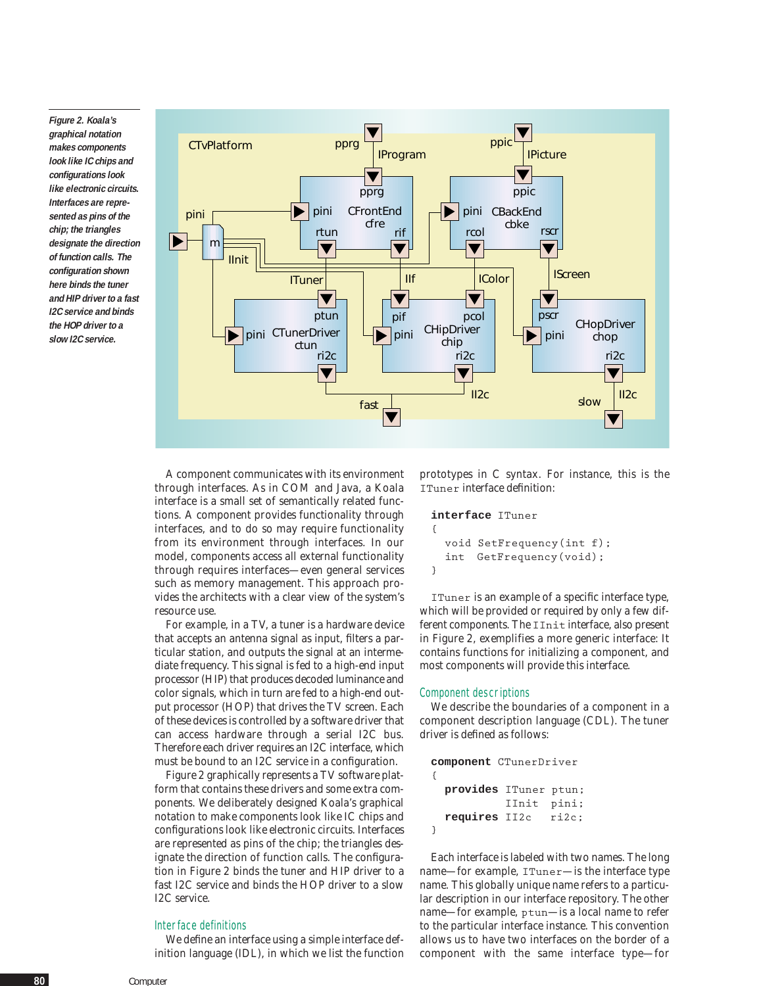**Figure 2. Koala's graphical notation makes components look like IC chips and configurations look like electronic circuits. Interfaces are represented as pins of the chip; the triangles designate the direction of function calls. The configuration shown here binds the tuner and HIP driver to a fast I2C service and binds the HOP driver to a slow I2C service.**



A component communicates with its environment through *interfaces*. As in COM and Java, a Koala interface is a small set of semantically related functions. A component provides functionality through interfaces, and to do so may require functionality from its environment through interfaces. In our model, components access all external functionality through *requires* interfaces—even general services such as memory management. This approach provides the architects with a clear view of the system's resource use.

For example, in a TV, a *tuner* is a hardware device that accepts an antenna signal as input, filters a particular station, and outputs the signal at an intermediate frequency. This signal is fed to a high-end input processor (HIP) that produces decoded luminance and color signals, which in turn are fed to a high-end output processor (HOP) that drives the TV screen. Each of these devices is controlled by a software driver that can access hardware through a serial I2C bus. Therefore each driver requires an I2C interface, which must be bound to an I2C service in a configuration.

Figure 2 graphically represents a TV software platform that contains these drivers and some extra components. We deliberately designed Koala's graphical notation to make components look like IC chips and configurations look like electronic circuits. Interfaces are represented as pins of the chip; the triangles designate the direction of function calls. The configuration in Figure 2 binds the tuner and HIP driver to a fast I2C service and binds the HOP driver to a slow I2C service.

# Interface definitions

We define an interface using a simple interface definition language (IDL), in which we list the function prototypes in C syntax. For instance, this is the **ITuner** interface definition:

```
interface ITuner
{
  void SetFrequency(int f);
  int GetFrequency(void);
}
```
**ITuner** is an example of a specific interface type, which will be provided or required by only a few different components. The **IInit** interface, also present in Figure 2, exemplifies a more generic interface: It contains functions for initializing a component, and most components will provide this interface.

#### Component descriptions

We describe the boundaries of a component in a component description language (CDL). The tuner driver is defined as follows:

**component CTunerDriver { provides ITuner ptun; IInit pini; requires II2c ri2c; }**

Each interface is labeled with two names. The long name—for example, **ITuner**—is the *interface type name.* This globally unique name refers to a particular description in our interface repository. The other name—for example, **ptun**—is a local name to refer to the particular interface *instance*. This convention allows us to have two interfaces on the border of a component with the same interface type—for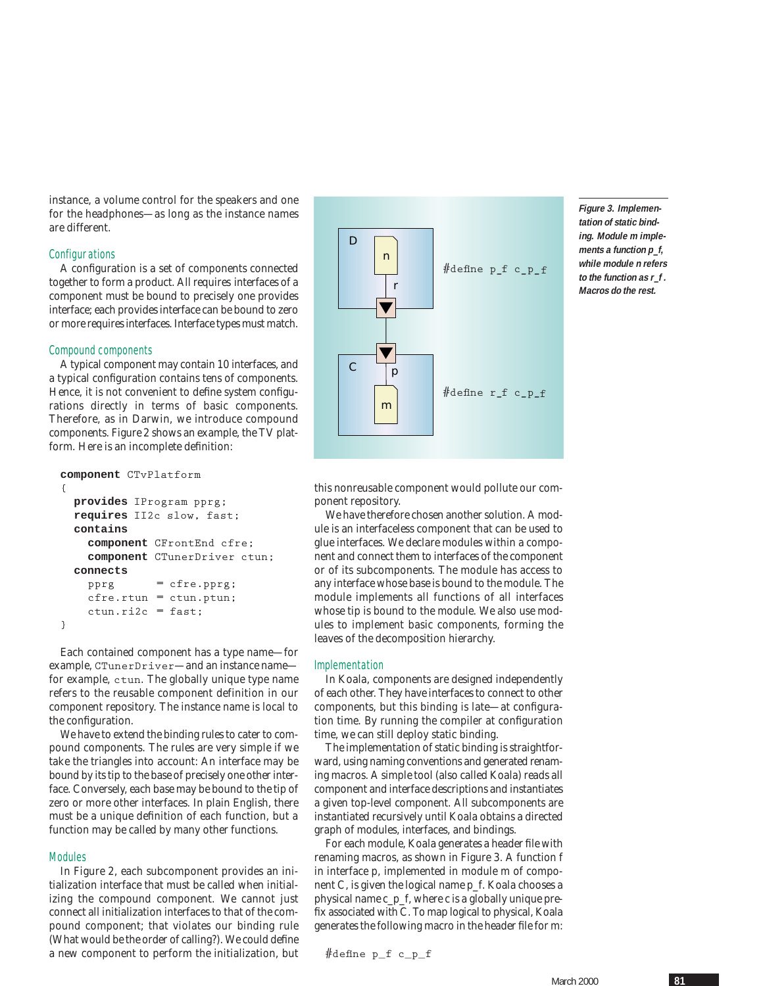instance, a volume control for the speakers and one for the headphones—as long as the instance names are different.

## **Configurations**

A configuration is a set of components connected together to form a product. All *requires* interfaces of a component must be bound to precisely one *provides* interface; each *provides*interface can be bound to zero or more *requires*interfaces. Interface types must match.

#### Compound components

A typical component may contain 10 interfaces, and a typical configuration contains tens of components. Hence, it is not convenient to define system configurations directly in terms of basic components. Therefore, as in Darwin, we introduce *compound components*. Figure 2 shows an example, the TV platform. Here is an incomplete definition:

```
component CTvPlatform
{
  provides IProgram pprg;
  requires II2c slow, fast;
  contains
    component CFrontEnd cfre;
    component CTunerDriver ctun;
  connects
    pprg = cfre.pprg;
    cfre.rtun = ctun.ptun;
    ctun.ri2c = fast;
}
```
Each contained component has a *type name*—for example, **CTunerDriver**—and an *instance name* for example, **ctun**. The globally unique type name refers to the reusable component definition in our component repository. The instance name is local to the configuration.

We have to extend the binding rules to cater to compound components. The rules are very simple if we take the triangles into account: *An interface may be bound by its tip to the base of precisely one other interface*. Conversely, *each base may be bound to the tip of zero or more other interfaces*. In plain English, there must be a unique definition of each function, but a function may be called by many other functions.

#### Modules

In Figure 2, each subcomponent provides an initialization interface that must be called when initializing the compound component. We cannot just connect all initialization interfaces to that of the compound component; that violates our binding rule (What would be the order of calling?). We could define a new component to perform the initialization, but



**Figure 3. Implementation of static binding. Module m implements a function p–f, while module n refers to the function as r–f . Macros do the rest.** 

this nonreusable component would pollute our component repository.

We have therefore chosen another solution. A *module* is an interfaceless component that can be used to glue interfaces. We declare modules within a component and connect them to interfaces of the component or of its subcomponents. The module has access to any interface whose base is bound to the module. The module implements *all* functions of *all* interfaces whose tip is bound to the module. We also use modules to implement basic components, forming the leaves of the decomposition hierarchy.

### Implementation

In Koala, components are designed independently of each other. They have interfaces to connect to other components, but this binding is *late*—at configuration time. By running the compiler at configuration time, we can still deploy *static binding*.

The implementation of static binding is straightforward, using naming conventions and generated renaming macros. A simple tool (also called Koala) reads all component and interface descriptions and instantiates a given top-level component. All subcomponents are instantiated recursively until Koala obtains a directed graph of modules, interfaces, and bindings.

For each module, Koala generates a header file with renaming macros, as shown in Figure 3. A function f in interface p, implemented in module m of component C, is given the *logical* name p\_f. Koala chooses a *physical* name c\_p\_f, where c is a globally unique prefix associated with C. To map logical to physical, Koala generates the following macro in the header file for m: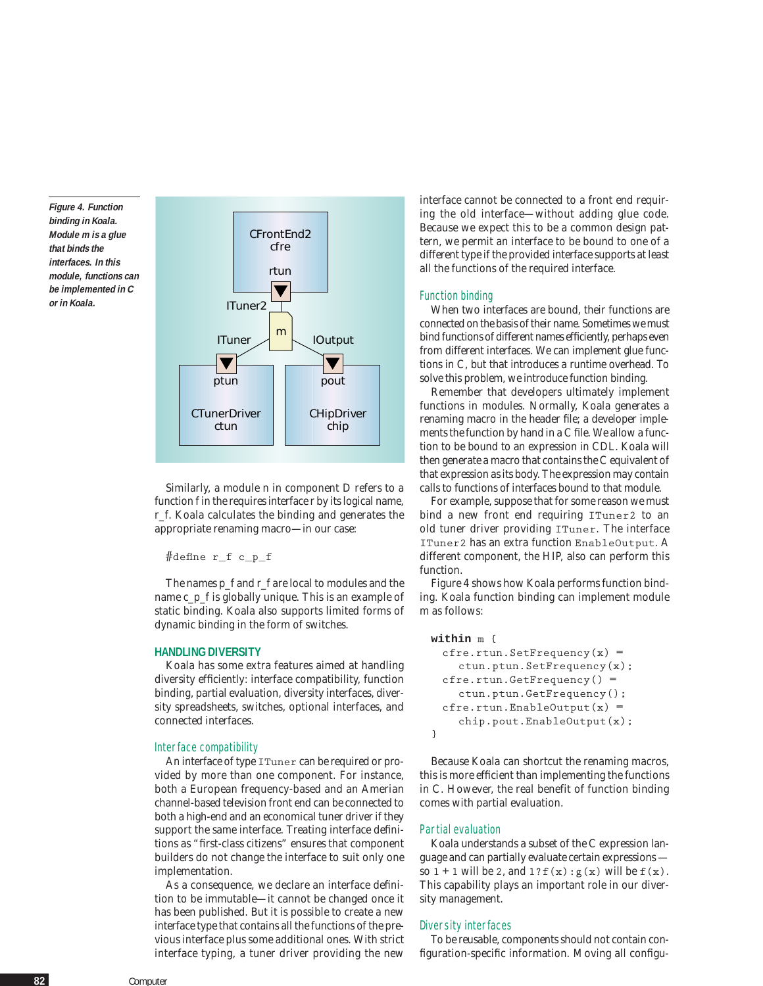**Figure 4. Function binding in Koala. Module m is a glue that binds the interfaces. In this module, functions can be implemented in C or in Koala.**



Similarly, a module n in component D refers to a function f in the *requires*interface r by its logical name, r\_f. Koala calculates the binding and generates the appropriate renaming macro—in our case:

```
#define r_f c_p_f
```
The names p\_f and r\_f are local to modules and the name c\_p\_f is globally unique. This is an example of static binding. Koala also supports limited forms of dynamic binding in the form of switches.

# **HANDLING DIVERSITY**

Koala has some extra features aimed at handling diversity efficiently: interface compatibility, function binding, partial evaluation, diversity interfaces, diversity spreadsheets, switches, optional interfaces, and connected interfaces.

# Interface compatibility

An interface of type **ITuner** can be required or provided by more than one component. For instance, both a European frequency-based and an Amerian channel-based television front end can be connected to both a high-end and an economical tuner driver if they support the same interface. Treating interface definitions as "first-class citizens" ensures that component builders do not change the interface to suit only one implementation.

As a consequence, we declare an interface definition to be immutable—it cannot be changed once it has been published. But it is possible to create a new interface type that contains all the functions of the previous interface plus some additional ones. With strict interface typing, a tuner driver providing the new interface cannot be connected to a front end requiring the old interface—without adding glue code. Because we expect this to be a common design pattern, we permit an interface to be bound to one of a different type if the provided interface supports at least all the functions of the required interface.

## Function binding

When two interfaces are bound, their functions are connected on the basis of their name. Sometimes we must bind functions of different names efficiently, perhaps even from different interfaces. We can implement glue functions in C, but that introduces a runtime overhead. To solve this problem, we introduce *function binding*.

Remember that developers ultimately implement functions in modules. Normally, Koala generates a renaming macro in the header file; a developer implements the function by hand in a C file. We allow a function to be bound to an expression in CDL. Koala will then generate a macro that contains the C equivalent of that expression as its body. The expression may contain calls to functions of interfaces bound to that module.

For example, suppose that for some reason we must bind a *new* front end requiring **ITuner2** to an *old* tuner driver providing **ITuner**. The interface **ITuner2** has an extra function **EnableOutput**. A different component, the HIP, also can perform this function.

Figure 4 shows how Koala performs function binding. Koala function binding can implement module m as follows:

```
within m {
 cfre.rtun.SetFrequency(x) =
    ctun.ptun.SetFrequency(x);
 cfre.rtun.GetFrequency() =
    ctun.ptun.GetFrequency();
 cfre.rtun.EnableOutput(x) = 
    chip.pout.EnableOutput(x);
}
```
Because Koala can shortcut the renaming macros, this is more efficient than implementing the functions in C. However, the real benefit of function binding comes with partial evaluation.

# Partial evaluation

Koala understands a subset of the C expression language and can partially evaluate certain expressions so  $1 + 1$  will be 2, and  $1? f(x) : g(x)$  will be  $f(x)$ . This capability plays an important role in our diversity management.

# Diversity interfaces

To be reusable, components should not contain configuration-specific information. Moving all configu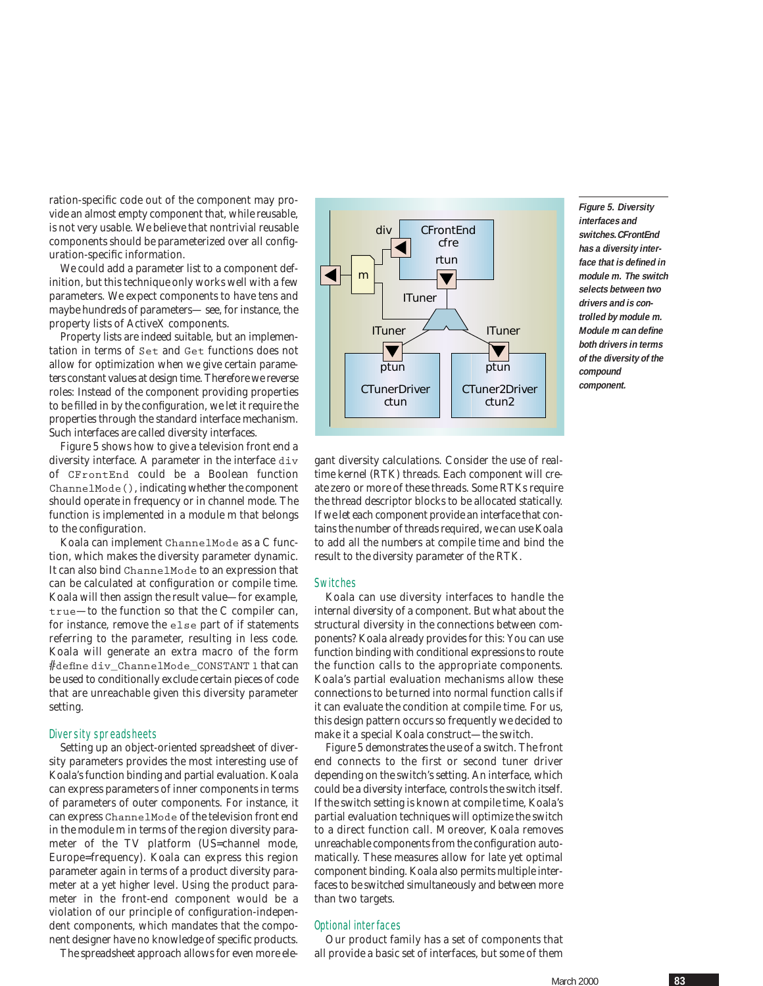ration-specific code out of the component may provide an almost empty component that, while reusable, is not very usable. We believe that nontrivial reusable components should be parameterized over *all* configuration-specific information.

We could add a parameter list to a component definition, but this technique only works well with a few parameters. We expect components to have tens and maybe hundreds of parameters— see, for instance, the property lists of ActiveX components.

Property lists are indeed suitable, but an implementation in terms of **Set** and **Get** functions does not allow for optimization when we give certain parameters constant values at design time. Therefore we reverse roles: Instead of the component *providing* properties to be filled in by the configuration, we let it *require* the properties through the standard interface mechanism. Such interfaces are called *diversity interfaces*.

Figure 5 shows how to give a television front end a diversity interface. A parameter in the interface **div** of **CFrontEnd** could be a Boolean function **ChannelMode()**, indicating whether the component should operate in frequency or in channel mode. The function is implemented in a module m that belongs to the configuration.

Koala can implement **ChannelMode** as a C function, which makes the diversity parameter dynamic. It can also bind **ChannelMode** to an expression that can be calculated at configuration or compile time. Koala will then assign the result value—for example, **true**—to the function so that the C compiler can, for instance, remove the **else** part of if statements referring to the parameter, resulting in less code. Koala will generate an extra macro of the form **#define div\_ChannelMode\_CONSTANT 1** that can be used to conditionally exclude certain pieces of code that are unreachable given this diversity parameter setting.

## Diversity spreadsheets

Setting up an object-oriented spreadsheet of diversity parameters provides the most interesting use of Koala's function binding and partial evaluation. Koala can express parameters of inner components in terms of parameters of outer components. For instance, it can express **ChannelMode** of the television front end in the module m in terms of the *region* diversity parameter of the TV platform (US=channel mode, Europe=frequency). Koala can express this region parameter again in terms of a product diversity parameter at a yet higher level. Using the product parameter in the front-end component would be a violation of our principle of configuration-independent components, which mandates that the component designer have no knowledge of specific products.

The spreadsheet approach allows for even more ele-



**Figure 5. Diversity interfaces and switches.CFrontEnd has a diversity interface that is defined in module m. The switch selects between two drivers and is controlled by module m. Module m can define both drivers in terms of the diversity of the compound component.**

gant diversity calculations. Consider the use of realtime kernel (RTK) threads. Each component will create zero or more of these threads. Some RTKs require the thread descriptor blocks to be allocated statically. If we let each component provide an interface that contains the number of threads required, we can use Koala to add all the numbers at compile time and bind the result to the diversity parameter of the RTK.

#### Switches

Koala can use diversity interfaces to handle the internal diversity of a component. But what about the structural diversity in the connections between components? Koala already provides for this: You can use function binding with conditional expressions to route the function calls to the appropriate components. Koala's partial evaluation mechanisms allow these connections to be turned into normal function calls if it can evaluate the condition at compile time. For us, this design pattern occurs so frequently we decided to make it a special Koala construct—the *switch*.

Figure 5 demonstrates the use of a switch. The front end connects to the first or second tuner driver depending on the switch's setting. An interface, which could be a diversity interface, controls the switch itself. If the switch setting is known at compile time, Koala's partial evaluation techniques will optimize the switch to a direct function call. Moreover, Koala removes unreachable components from the configuration automatically. These measures allow for late yet optimal component binding. Koala also permits multiple interfaces to be switched simultaneously and between more than two targets.

#### Optional interfaces

Our product family has a set of components that all provide a basic set of interfaces, but some of them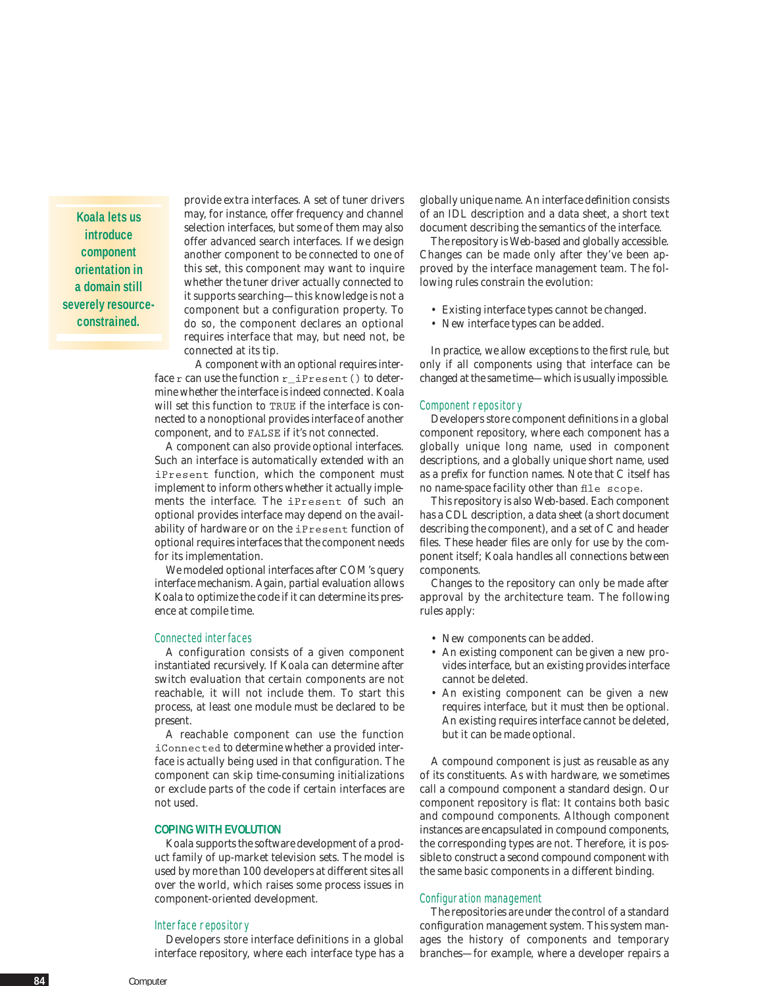**Koala lets us introduce component orientation in a domain still severely resourceconstrained.**

provide extra interfaces. A set of tuner drivers may, for instance, offer frequency and channel selection interfaces, but some of them may also offer advanced search interfaces. If we design another component to be connected to one of this set, this component may want to inquire whether the tuner driver actually connected to it supports searching—this knowledge is not a component but a configuration property. To do so, the component declares an optional *requires* interface that may, but need not, be connected at its tip.

A component with an optional *requires*interface **r** can use the function **r\_iPresent()** to determine whether the interface is indeed connected. Koala will set this function to **TRUE** if the interface is connected to a nonoptional *provides* interface of another component, and to **FALSE** if it's not connected.

A component can also provide optional interfaces. Such an interface is automatically extended with an **iPresent** function, which the component must implement to inform others whether it actually implements the interface. The **iPresent** of such an optional *provides* interface may depend on the availability of hardware or on the **iPresent** function of optional *requires*interfaces that the component needs for its implementation.

We modeled optional interfaces after COM's query interface mechanism. Again, partial evaluation allows Koala to optimize the code if it can determine its presence at compile time.

## Connected interfaces

A configuration consists of a given component instantiated recursively. If Koala can determine after switch evaluation that certain components are not reachable, it will not include them. To start this process, at least one module must be declared to be present.

A reachable component can use the function **iConnected** to determine whether a provided interface is actually being used in that configuration. The component can skip time-consuming initializations or exclude parts of the code if certain interfaces are not used.

# **COPING WITH EVOLUTION**

Koala supports the software development of a product family of up-market television sets. The model is used by more than 100 developers at different sites all over the world, which raises some process issues in component-oriented development.

# Interface repository

Developers store interface definitions in a global interface repository, where each interface type has a

globally unique name. An interface definition consists of an IDL description and a data sheet, a short text document describing the semantics of the interface.

The repository is Web-based and globally accessible. Changes can be made only after they've been approved by the interface management team. The following rules constrain the evolution:

- Existing interface types cannot be changed.
- New interface types can be added.

In practice, we allow exceptions to the first rule, but only if *all* components using that interface can be changed at the same time—which is usually impossible.

#### Component repository

Developers store component definitions in a global component repository, where each component has a globally unique long name, used in component descriptions, and a globally unique short name, used as a prefix for function names. Note that C itself has no name-space facility other than **file scope**.

This repository is also Web-based. Each component has a CDL description, a data sheet (a short document describing the component), and a set of C and header files. These header files are only for use by the component itself; Koala handles all connections between components.

Changes to the repository can only be made after approval by the architecture team. The following rules apply:

- New components can be added.
- An existing component can be given a new *provides*interface, but an existing *provides*interface cannot be deleted.
- An existing component can be given a new *requires* interface, but it must then be optional. An existing *requires* interface cannot be deleted, but it can be made optional.

A compound component is just as reusable as any of its constituents. As with hardware, we sometimes call a compound component a *standard design*. Our component repository is flat: It contains both basic and compound components. Although component instances are encapsulated in compound components, the corresponding types are not. Therefore, it is possible to construct a second compound component with the same basic components in a different binding.

## Configuration management

The repositories are under the control of a standard configuration management system. This system manages the history of components and temporary branches—for example, where a developer repairs a